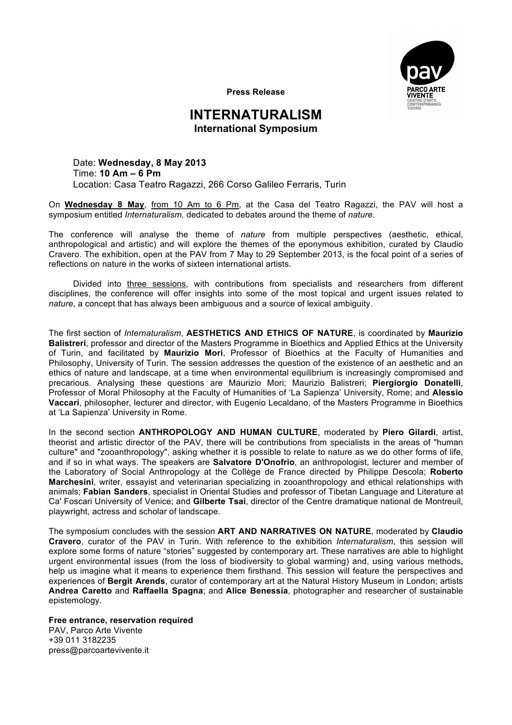

**Press Release**

## **INTERNATURALISM International Symposium**

Date: **Wednesday, 8 May 2013** Time: **10 Am – 6 Pm** Location: Casa Teatro Ragazzi, 266 Corso Galileo Ferraris, Turin

On **Wednesday 8 May**, from 10 Am to 6 Pm, at the Casa del Teatro Ragazzi, the PAV will host a symposium entitled *Internaturalism,* dedicated to debates around the theme of *nature*.

The conference will analyse the theme of *nature* from multiple perspectives (aesthetic, ethical, anthropological and artistic) and will explore the themes of the eponymous exhibition, curated by Claudio Cravero. The exhibition, open at the PAV from 7 May to 29 September 2013, is the focal point of a series of reflections on nature in the works of sixteen international artists.

Divided into three sessions, with contributions from specialists and researchers from different disciplines, the conference will offer insights into some of the most topical and urgent issues related to *nature*, a concept that has always been ambiguous and a source of lexical ambiguity.

The first section of *Internaturalism*, **AESTHETICS AND ETHICS OF NATURE**, is coordinated by **Maurizio Balistreri**, professor and director of the Masters Programme in Bioethics and Applied Ethics at the University of Turin, and facilitated by **Maurizio Mori**, Professor of Bioethics at the Faculty of Humanities and Philosophy, University of Turin. The session addresses the question of the existence of an aesthetic and an ethics of nature and landscape, at a time when environmental equilibrium is increasingly compromised and precarious. Analysing these questions are Maurizio Mori; Maurizio Balistreri; **Piergiorgio Donatelli**, Professor of Moral Philosophy at the Faculty of Humanities of 'La Sapienza' University, Rome; and **Alessio Vaccari**, philosopher, lecturer and director, with Eugenio Lecaldano, of the Masters Programme in Bioethics at 'La Sapienza' University in Rome.

In the second section **ANTHROPOLOGY AND HUMAN CULTURE**, moderated by **Piero Gilardi**, artist, theorist and artistic director of the PAV, there will be contributions from specialists in the areas of "human culture" and "zooanthropology", asking whether it is possible to relate to nature as we do other forms of life, and if so in what ways. The speakers are **Salvatore D'Onofrio**, an anthropologist, lecturer and member of the Laboratory of Social Anthropology at the Collège de France directed by Philippe Descola; **Roberto Marchesini**, writer, essayist and veterinarian specializing in zooanthropology and ethical relationships with animals; **Fabian Sanders**, specialist in Oriental Studies and professor of Tibetan Language and Literature at Ca' Foscari University of Venice; and **Gilberte Tsai**, director of the Centre dramatique national de Montreuil, playwright, actress and scholar of landscape.

The symposium concludes with the session **ART AND NARRATIVES ON NATURE**, moderated by **Claudio Cravero**, curator of the PAV in Turin. With reference to the exhibition *Internaturalism*, this session will explore some forms of nature "stories" suggested by contemporary art. These narratives are able to highlight urgent environmental issues (from the loss of biodiversity to global warming) and, using various methods, help us imagine what it means to experience them firsthand. This session will feature the perspectives and experiences of **Bergit Arends**, curator of contemporary art at the Natural History Museum in London; artists **Andrea Caretto** and **Raffaella Spagna**; and **Alice Benessia**, photographer and researcher of sustainable epistemology.

**Free entrance, reservation required** PAV, Parco Arte Vivente +39 011 3182235 press@parcoartevivente.it